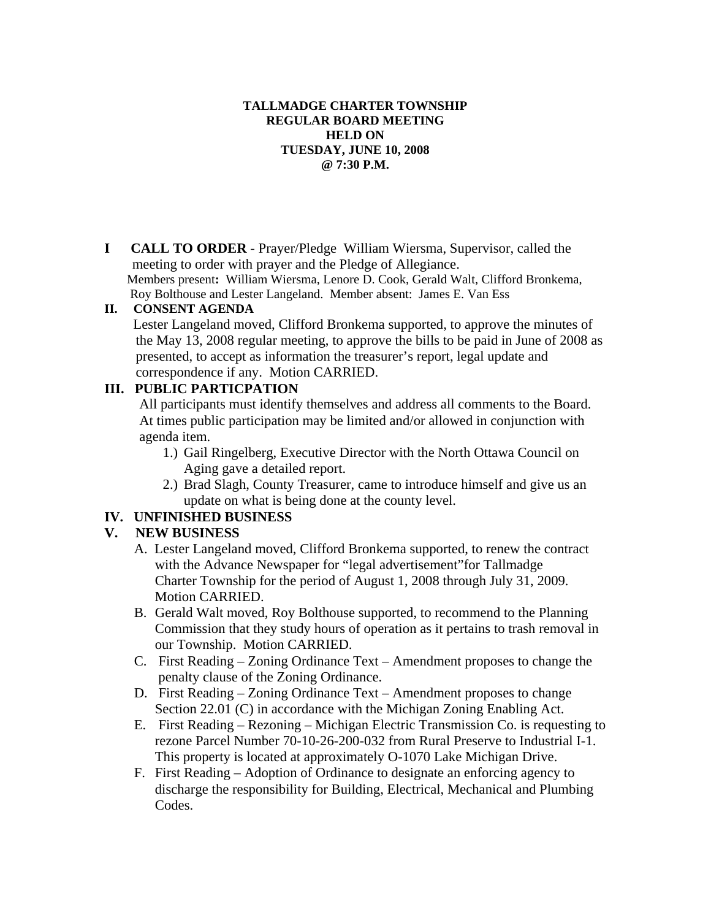#### **TALLMADGE CHARTER TOWNSHIP REGULAR BOARD MEETING HELD ON TUESDAY, JUNE 10, 2008 @ 7:30 P.M.**

**I CALL TO ORDER** - Prayer/Pledge William Wiersma, Supervisor, called the meeting to order with prayer and the Pledge of Allegiance.

Members present**:** William Wiersma, Lenore D. Cook, Gerald Walt, Clifford Bronkema, Roy Bolthouse and Lester Langeland. Member absent: James E. Van Ess

#### **II. CONSENT AGENDA**

 Lester Langeland moved, Clifford Bronkema supported, to approve the minutes of the May 13, 2008 regular meeting, to approve the bills to be paid in June of 2008 as presented, to accept as information the treasurer's report, legal update and correspondence if any. Motion CARRIED.

# **III. PUBLIC PARTICPATION**

 All participants must identify themselves and address all comments to the Board. At times public participation may be limited and/or allowed in conjunction with agenda item.

- 1.) Gail Ringelberg, Executive Director with the North Ottawa Council on Aging gave a detailed report.
- 2.) Brad Slagh, County Treasurer, came to introduce himself and give us an update on what is being done at the county level.

## **IV. UNFINISHED BUSINESS**

## **V. NEW BUSINESS**

- A. Lester Langeland moved, Clifford Bronkema supported, to renew the contract with the Advance Newspaper for "legal advertisement"for Tallmadge Charter Township for the period of August 1, 2008 through July 31, 2009. Motion CARRIED.
- B. Gerald Walt moved, Roy Bolthouse supported, to recommend to the Planning Commission that they study hours of operation as it pertains to trash removal in our Township. Motion CARRIED.
- C. First Reading Zoning Ordinance Text Amendment proposes to change the penalty clause of the Zoning Ordinance.
- D. First Reading Zoning Ordinance Text Amendment proposes to change Section 22.01 (C) in accordance with the Michigan Zoning Enabling Act.
- E. First Reading Rezoning Michigan Electric Transmission Co. is requesting to rezone Parcel Number 70-10-26-200-032 from Rural Preserve to Industrial I-1. This property is located at approximately O-1070 Lake Michigan Drive.
- F. First Reading Adoption of Ordinance to designate an enforcing agency to discharge the responsibility for Building, Electrical, Mechanical and Plumbing Codes.